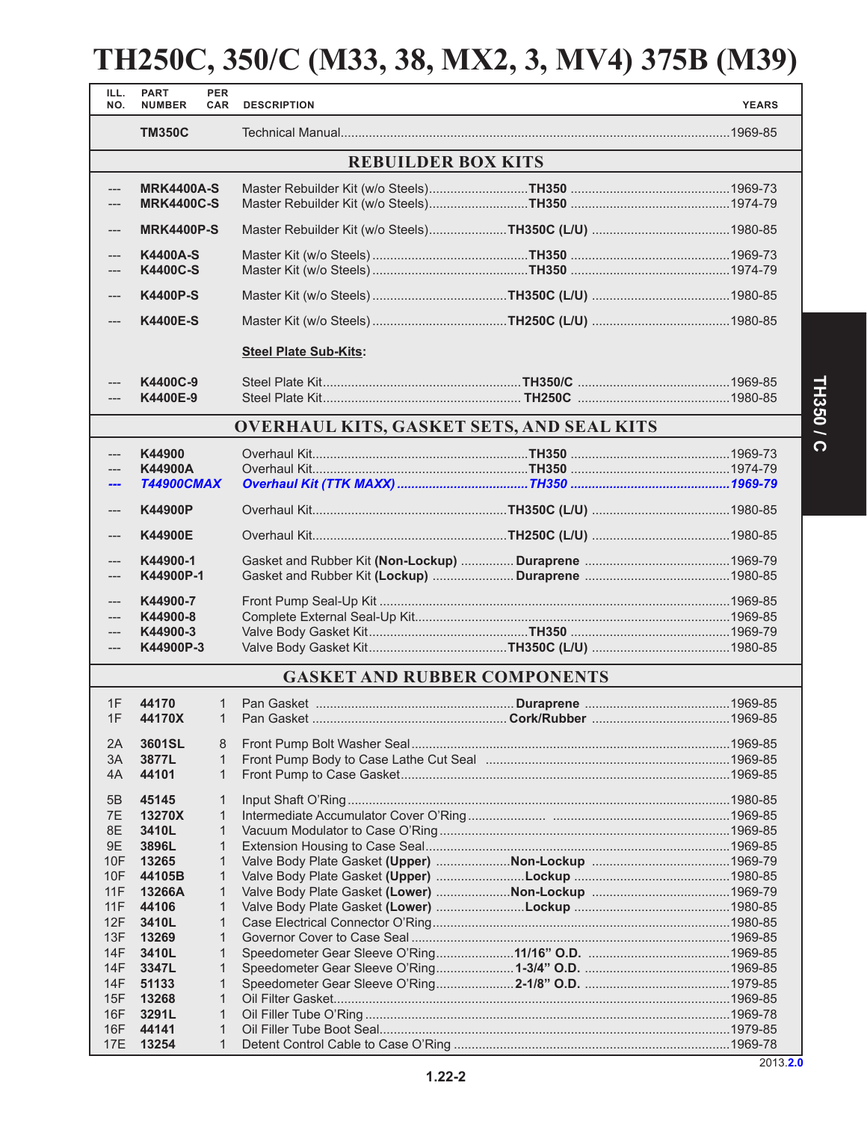# **TH250C, 350/C (M33, 38, MX2, 3, MV4) 375B (M39)**

| ILL.<br>NO.               | <b>PART</b><br><b>NUMBER</b>           | <b>PER</b><br><b>CAR</b>     | <b>DESCRIPTION</b>                               |  | <b>YEARS</b> |  |  |
|---------------------------|----------------------------------------|------------------------------|--------------------------------------------------|--|--------------|--|--|
|                           | <b>TM350C</b>                          |                              |                                                  |  |              |  |  |
| <b>REBUILDER BOX KITS</b> |                                        |                              |                                                  |  |              |  |  |
| $---$<br>---              | <b>MRK4400A-S</b><br><b>MRK4400C-S</b> |                              |                                                  |  |              |  |  |
| ---                       | <b>MRK4400P-S</b>                      |                              |                                                  |  |              |  |  |
| ---<br>---                | <b>K4400A-S</b><br><b>K4400C-S</b>     |                              |                                                  |  |              |  |  |
| $---$                     | <b>K4400P-S</b>                        |                              |                                                  |  |              |  |  |
| $---$                     | <b>K4400E-S</b>                        |                              |                                                  |  |              |  |  |
|                           |                                        | <b>Steel Plate Sub-Kits:</b> |                                                  |  |              |  |  |
| ---                       | K4400C-9                               |                              |                                                  |  |              |  |  |
|                           | K4400E-9                               |                              |                                                  |  |              |  |  |
|                           |                                        |                              | <b>OVERHAUL KITS, GASKET SETS, AND SEAL KITS</b> |  |              |  |  |
|                           | K44900                                 |                              |                                                  |  |              |  |  |
| ---                       | K44900A                                |                              |                                                  |  |              |  |  |
| ---                       | <b>T44900CMAX</b>                      |                              |                                                  |  |              |  |  |
| ---                       | <b>K44900P</b>                         |                              |                                                  |  |              |  |  |
| ---                       | <b>K44900E</b>                         |                              |                                                  |  |              |  |  |
| ---<br>$---$              | K44900-1<br>K44900P-1                  |                              |                                                  |  |              |  |  |
| $---$                     | K44900-7                               |                              |                                                  |  |              |  |  |
|                           | K44900-8                               |                              |                                                  |  |              |  |  |
| $---$                     | K44900-3                               |                              |                                                  |  |              |  |  |
| $---$                     | K44900P-3                              |                              |                                                  |  |              |  |  |
|                           |                                        |                              | <b>GASKET AND RUBBER COMPONENTS</b>              |  |              |  |  |
| 1F                        | 44170                                  | 1                            |                                                  |  |              |  |  |
|                           | 1F 44170X                              |                              |                                                  |  |              |  |  |
| 2A                        | 3601SL                                 | 8                            |                                                  |  |              |  |  |
| 3A                        | 3877L                                  | 1                            |                                                  |  |              |  |  |
| 4A                        | 44101                                  | 1                            |                                                  |  |              |  |  |
| 5B                        | 45145                                  | $\mathbf{1}$                 |                                                  |  |              |  |  |
| 7E                        | 13270X                                 | 1                            |                                                  |  |              |  |  |
| 8E                        | 3410L                                  | 1                            |                                                  |  |              |  |  |
| 9E                        | 3896L                                  | 1                            |                                                  |  |              |  |  |
| 10F                       | 13265                                  | 1                            |                                                  |  |              |  |  |
| 10F                       | 44105B                                 | 1                            |                                                  |  |              |  |  |
| 11F                       | 13266A                                 | 1                            |                                                  |  |              |  |  |
| 11F                       | 44106                                  | 1                            |                                                  |  |              |  |  |
| 12F                       | 3410L                                  | 1<br>1                       |                                                  |  |              |  |  |
| 13F<br>14F                | 13269<br>3410L                         | 1                            |                                                  |  |              |  |  |
| 14F                       | 3347L                                  | 1                            |                                                  |  |              |  |  |
| 14F                       | 51133                                  | 1                            |                                                  |  |              |  |  |
| 15F                       | 13268                                  | 1                            |                                                  |  |              |  |  |
| 16F                       | 3291L                                  | 1                            |                                                  |  |              |  |  |
| 16F                       | 44141                                  | 1                            |                                                  |  |              |  |  |
| <b>17E</b>                | 13254                                  | 1                            |                                                  |  |              |  |  |

2013.**2.0**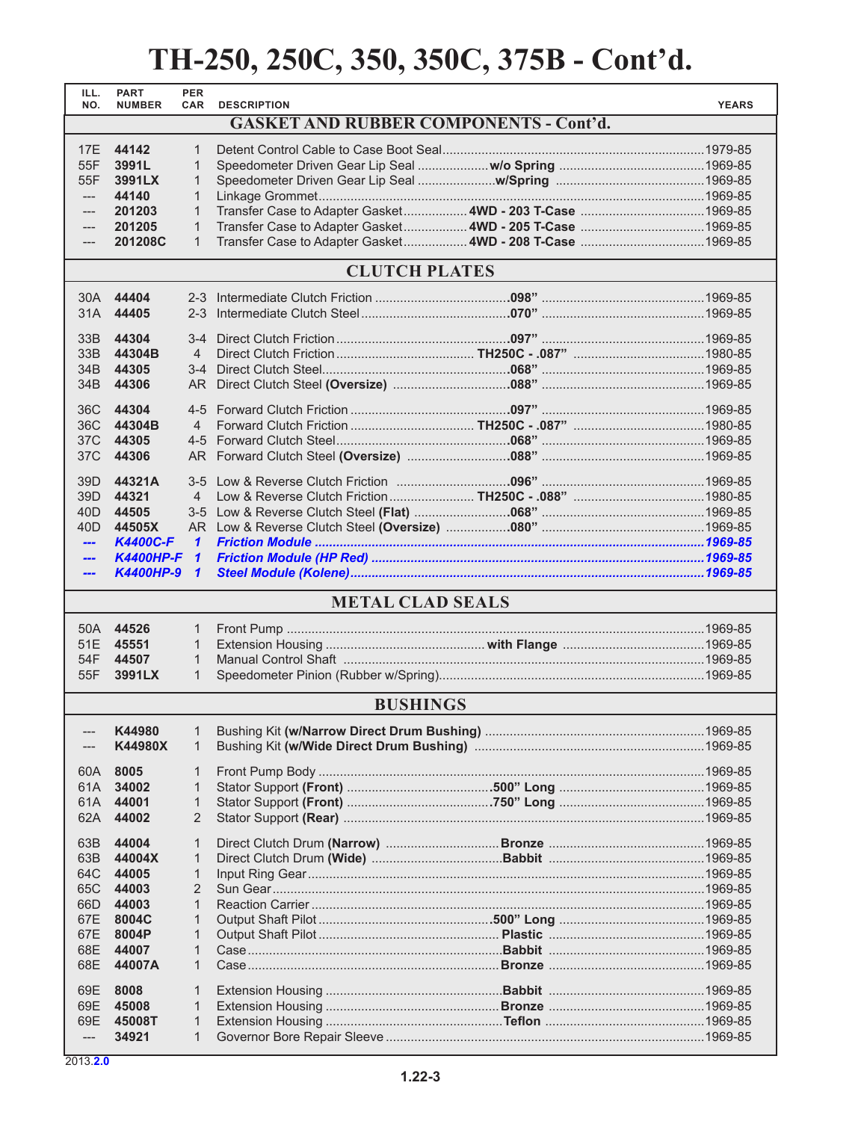| ILL.<br>NO.         | <b>PART</b><br><b>NUMBER</b> | <b>PER</b><br><b>CAR</b> | <b>DESCRIPTION</b>                                       |  | <b>YEARS</b> |  |  |
|---------------------|------------------------------|--------------------------|----------------------------------------------------------|--|--------------|--|--|
|                     |                              |                          | <b>GASKET AND RUBBER COMPONENTS - Cont'd.</b>            |  |              |  |  |
| 17E                 | 44142                        | $\mathbf{1}$             |                                                          |  |              |  |  |
| 55F                 | 3991L                        | $\mathbf 1$              |                                                          |  |              |  |  |
| 55F                 | 3991LX                       | $\mathbf 1$              |                                                          |  |              |  |  |
| $---$               | 44140                        | $\mathbf{1}$             |                                                          |  |              |  |  |
| ---                 | 201203                       | $\mathbf{1}$             |                                                          |  |              |  |  |
|                     | 201205                       | $\mathbf{1}$             |                                                          |  |              |  |  |
|                     | 201208C                      | $\mathbf{1}$             | Transfer Case to Adapter Gasket 4WD - 208 T-Case 1969-85 |  |              |  |  |
|                     |                              |                          |                                                          |  |              |  |  |
|                     | <b>CLUTCH PLATES</b>         |                          |                                                          |  |              |  |  |
| 30A                 | 44404                        | $2 - 3$                  |                                                          |  |              |  |  |
| 31A                 | 44405                        | $2 - 3$                  |                                                          |  |              |  |  |
|                     |                              |                          |                                                          |  |              |  |  |
| 33B                 | 44304                        | $3-4$                    |                                                          |  |              |  |  |
| 33B                 | 44304B                       | $\overline{4}$           |                                                          |  |              |  |  |
| 34 <sub>B</sub>     | 44305                        | $3-4$                    |                                                          |  |              |  |  |
| 34B                 | 44306                        | AR I                     |                                                          |  |              |  |  |
| 36C                 | 44304                        | $4 - 5$                  |                                                          |  |              |  |  |
| 36C                 | 44304B                       | $\overline{4}$           |                                                          |  |              |  |  |
| 37C                 | 44305                        | $4 - 5$                  |                                                          |  |              |  |  |
| 37C                 | 44306                        | AR I                     |                                                          |  |              |  |  |
|                     |                              |                          |                                                          |  |              |  |  |
| 39D                 | 44321A                       | $3-5$                    |                                                          |  |              |  |  |
| 39D                 | 44321                        | $\overline{4}$           |                                                          |  |              |  |  |
| 40D                 | 44505                        | $3 - 5$                  |                                                          |  |              |  |  |
| 40D                 | 44505X                       |                          |                                                          |  |              |  |  |
| ---                 | <b>K4400C-F</b>              | $\mathbf{\mathbf{1}}$    |                                                          |  |              |  |  |
| ---                 | <b>K4400HP-F</b>             | $\mathbf{1}$             |                                                          |  |              |  |  |
| ---                 | <b>K4400HP-9</b>             | $\mathbf{1}$             |                                                          |  |              |  |  |
|                     | <b>METAL CLAD SEALS</b>      |                          |                                                          |  |              |  |  |
| 50A                 | 44526                        | $\mathbf{1}$             |                                                          |  |              |  |  |
| 51E                 | 45551                        | $\mathbf{1}$             |                                                          |  |              |  |  |
| 54F                 | 44507                        | $\mathbf{1}$             |                                                          |  |              |  |  |
| 55F                 | 3991LX                       | $\mathbf{1}$             |                                                          |  |              |  |  |
| <b>BUSHINGS</b>     |                              |                          |                                                          |  |              |  |  |
| ---                 | K44980                       | $\mathbf{1}$             |                                                          |  |              |  |  |
|                     | K44980X                      | 1                        |                                                          |  |              |  |  |
|                     |                              |                          |                                                          |  |              |  |  |
| 60A                 | 8005                         | $\mathbf{1}$             |                                                          |  |              |  |  |
| 61A l               | 34002                        | $\mathbf{1}$             |                                                          |  |              |  |  |
| 61A                 | 44001                        | $\mathbf{1}$             |                                                          |  |              |  |  |
| 62A                 | 44002                        | 2                        |                                                          |  |              |  |  |
| 63B                 | 44004                        | $\mathbf{1}$             |                                                          |  |              |  |  |
| 63B                 | 44004X                       | $\mathbf{1}$             |                                                          |  |              |  |  |
| 64C                 | 44005                        | 1                        |                                                          |  |              |  |  |
| 65C                 | 44003                        | 2                        |                                                          |  |              |  |  |
| 66D                 | 44003                        | $\mathbf{1}$             |                                                          |  |              |  |  |
| 67E                 | 8004C                        | $\mathbf{1}$             |                                                          |  |              |  |  |
| 67E                 | 8004P                        | $\mathbf{1}$             |                                                          |  |              |  |  |
| 68E                 | 44007                        | $\mathbf 1$              |                                                          |  |              |  |  |
| 68E                 | 44007A                       | $\mathbf{1}$             |                                                          |  |              |  |  |
|                     |                              |                          |                                                          |  |              |  |  |
| 69E                 | 8008                         | $\mathbf 1$              |                                                          |  |              |  |  |
| 69E                 | 45008                        | 1                        |                                                          |  |              |  |  |
| 69E                 | 45008T                       | $\mathbf{1}$             |                                                          |  |              |  |  |
| $\qquad \qquad - -$ | 34921                        | $\mathbf{1}$             |                                                          |  |              |  |  |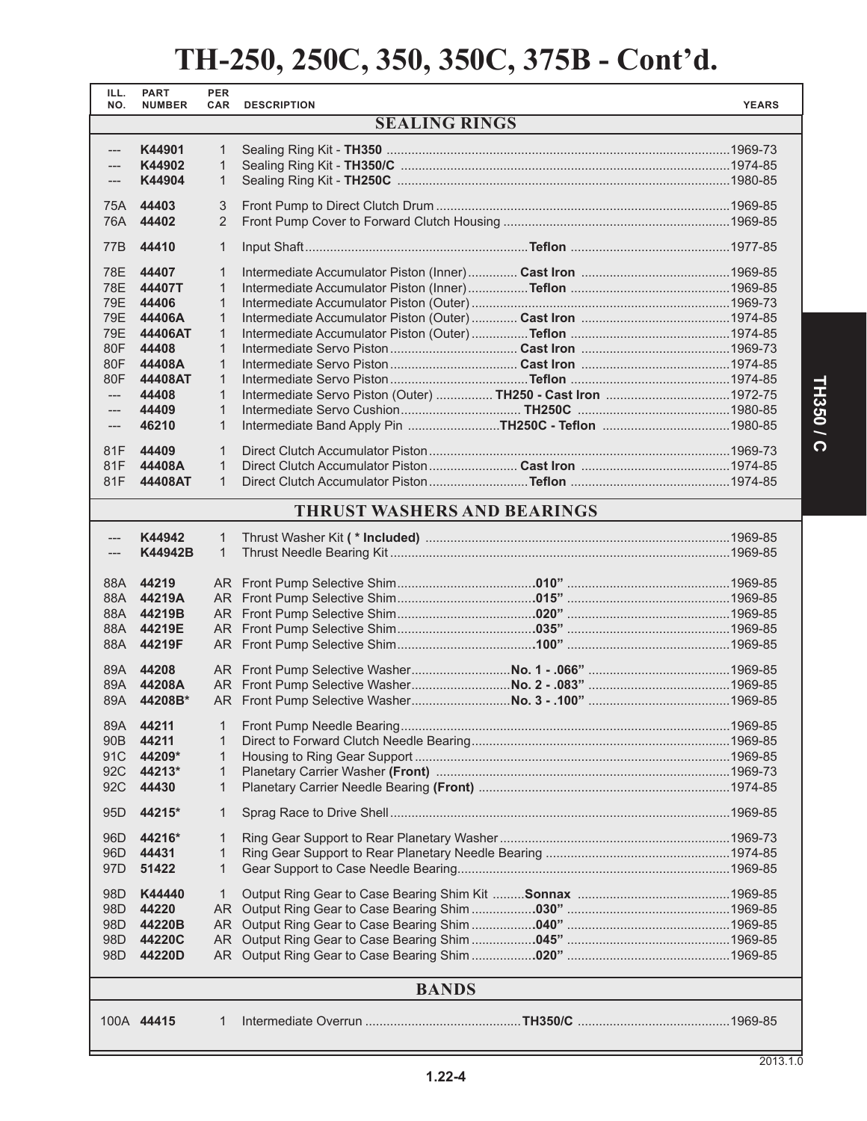| ILL.<br>NO.                        | <b>PART</b><br><b>NUMBER</b> | <b>PER</b><br><b>CAR</b> | <b>DESCRIPTION</b>                                           |  | <b>YEARS</b> |  |
|------------------------------------|------------------------------|--------------------------|--------------------------------------------------------------|--|--------------|--|
| <b>SEALING RINGS</b>               |                              |                          |                                                              |  |              |  |
|                                    |                              |                          |                                                              |  |              |  |
| ---<br>---                         | K44901<br>K44902             | $\mathbf{1}$<br>1        |                                                              |  |              |  |
| ---                                | K44904                       | $\mathbf{1}$             |                                                              |  |              |  |
|                                    |                              |                          |                                                              |  |              |  |
| 75A                                | 44403                        | 3                        |                                                              |  |              |  |
| 76A                                | 44402                        | 2                        |                                                              |  |              |  |
| 77B                                | 44410                        | 1                        |                                                              |  |              |  |
| 78E                                | 44407                        | $\mathbf{1}$             |                                                              |  |              |  |
| 78E                                | 44407T                       | $\mathbf{1}$             |                                                              |  |              |  |
| 79E                                | 44406                        | $\mathbf{1}$             |                                                              |  |              |  |
| 79E                                | 44406A                       | $\mathbf{1}$             |                                                              |  |              |  |
| 79E                                | 44406AT                      | $\mathbf{1}$             |                                                              |  |              |  |
| 80F                                | 44408                        | $\mathbf{1}$             |                                                              |  |              |  |
| 80F                                | 44408A                       | $\mathbf{1}$             |                                                              |  |              |  |
| 80F                                | 44408AT                      | $\mathbf{1}$             |                                                              |  |              |  |
| $---$                              | 44408                        | $\mathbf{1}$             | Intermediate Servo Piston (Outer)  TH250 - Cast Iron 1972-75 |  |              |  |
| $---$                              | 44409                        | $\mathbf{1}$             |                                                              |  |              |  |
| $---$                              | 46210                        | $\mathbf{1}$             | Intermediate Band Apply Pin TH250C - Teflon 1980-85          |  |              |  |
| 81F                                | 44409                        | $\mathbf{1}$             |                                                              |  |              |  |
| 81F                                | 44408A                       | $\mathbf{1}$             |                                                              |  |              |  |
| 81F                                | 44408AT                      | $\mathbf{1}$             |                                                              |  |              |  |
| <b>THRUST WASHERS AND BEARINGS</b> |                              |                          |                                                              |  |              |  |
| ---                                | K44942                       | $\mathbf{1}$             |                                                              |  |              |  |
|                                    | K44942B                      | $\mathbf{1}$             |                                                              |  |              |  |
|                                    |                              |                          |                                                              |  |              |  |
| 88A                                | 44219                        |                          |                                                              |  |              |  |
| 88A                                | 44219A                       |                          |                                                              |  |              |  |
|                                    | 88A 44219B                   |                          |                                                              |  |              |  |
| 88A                                | 44219E                       |                          |                                                              |  |              |  |
|                                    | 88A 44219F                   |                          |                                                              |  |              |  |
|                                    | 89A 44208                    |                          |                                                              |  |              |  |
| 89A                                | 44208A                       |                          |                                                              |  |              |  |
| 89A                                | 44208B*                      |                          |                                                              |  |              |  |
|                                    |                              |                          |                                                              |  |              |  |
| 89A                                | 44211                        | 1                        |                                                              |  |              |  |
| 90B                                | 44211                        | 1                        |                                                              |  |              |  |
| 91C                                | 44209*                       | $\mathbf{1}$             |                                                              |  |              |  |
| 92C                                | 44213*                       | $\mathbf{1}$             |                                                              |  |              |  |
| 92C                                | 44430                        | 1                        |                                                              |  |              |  |
| 95 <sub>D</sub>                    | 44215*                       | 1                        |                                                              |  |              |  |
| 96 <sub>D</sub>                    | 44216*                       | 1                        |                                                              |  |              |  |
| 96D                                | 44431                        | 1                        |                                                              |  |              |  |
| 97 <sub>D</sub>                    | 51422                        | 1                        |                                                              |  |              |  |
|                                    |                              |                          |                                                              |  |              |  |
| 98 <sub>D</sub>                    | K44440                       | 1                        |                                                              |  |              |  |
| 98D                                | 44220                        |                          |                                                              |  |              |  |
| 98D                                | 44220B                       |                          |                                                              |  |              |  |
| 98 <sub>D</sub>                    | 44220C                       |                          |                                                              |  |              |  |
| 98 <sub>D</sub>                    | 44220D                       |                          |                                                              |  |              |  |
| <b>BANDS</b>                       |                              |                          |                                                              |  |              |  |
|                                    |                              |                          |                                                              |  |              |  |
|                                    | 100A 44415                   | 1                        |                                                              |  |              |  |
|                                    |                              |                          |                                                              |  |              |  |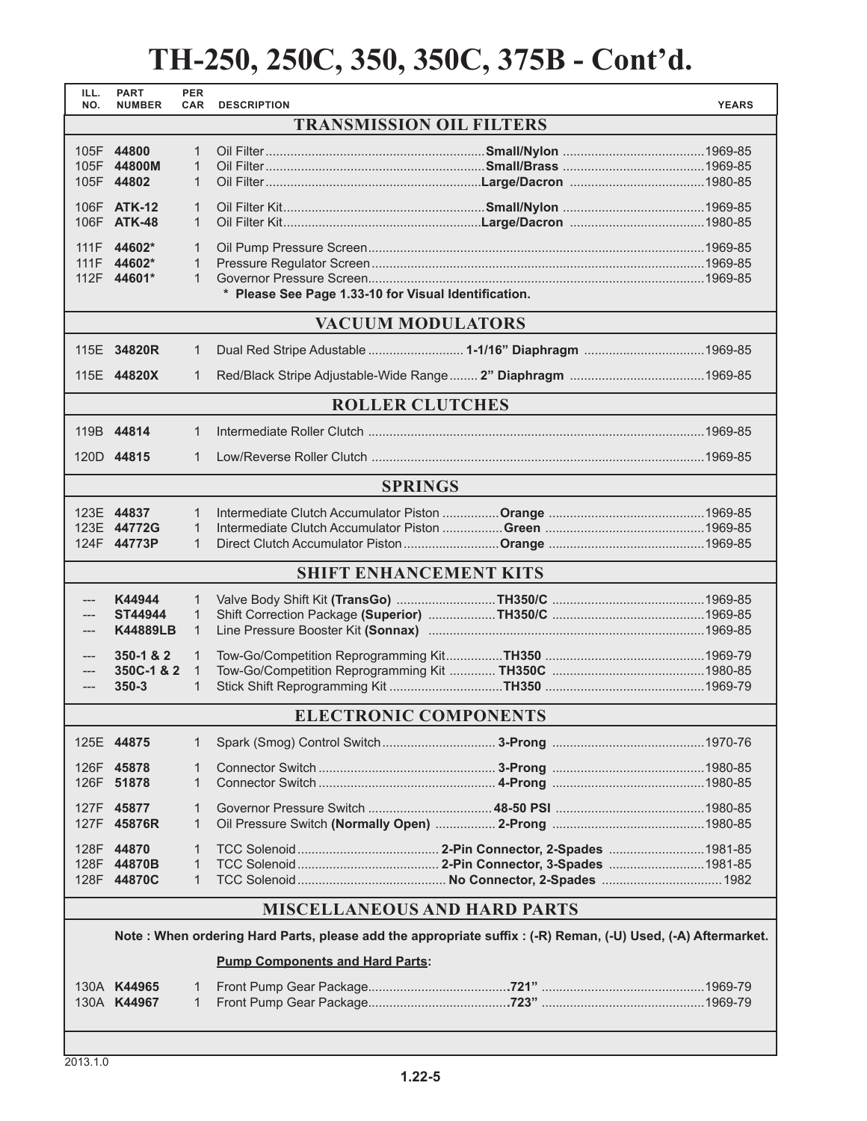| ILL.<br>NO.                                                                                                 | <b>PART</b><br><b>NUMBER</b> | <b>PER</b><br><b>CAR</b> | <b>DESCRIPTION</b>                                   |  | <b>YEARS</b> |  |
|-------------------------------------------------------------------------------------------------------------|------------------------------|--------------------------|------------------------------------------------------|--|--------------|--|
| <b>TRANSMISSION OIL FILTERS</b>                                                                             |                              |                          |                                                      |  |              |  |
|                                                                                                             | 105F 44800                   | 1                        |                                                      |  |              |  |
|                                                                                                             | 105F 44800M                  | $\mathbf{1}$             |                                                      |  |              |  |
|                                                                                                             | 105F 44802                   | $\mathbf{1}$             |                                                      |  |              |  |
|                                                                                                             | 106F ATK-12                  | $\mathbf{1}$             |                                                      |  |              |  |
|                                                                                                             | 106F ATK-48                  | $\mathbf{1}$             |                                                      |  |              |  |
|                                                                                                             | 111F 44602*                  | $\mathbf{1}$             |                                                      |  |              |  |
|                                                                                                             | 111F 44602*                  | 1                        |                                                      |  |              |  |
|                                                                                                             | 112F 44601*                  | $\mathbf{1}$             |                                                      |  |              |  |
|                                                                                                             |                              |                          | * Please See Page 1.33-10 for Visual Identification. |  |              |  |
|                                                                                                             |                              |                          | <b>VACUUM MODULATORS</b>                             |  |              |  |
|                                                                                                             | 115E 34820R                  | $\mathbf{1}$             | Dual Red Stripe Adustable  1-1/16" Diaphragm 1969-85 |  |              |  |
|                                                                                                             |                              |                          |                                                      |  |              |  |
|                                                                                                             | 115E 44820X                  | 1                        |                                                      |  |              |  |
|                                                                                                             |                              |                          | <b>ROLLER CLUTCHES</b>                               |  |              |  |
|                                                                                                             | 119B 44814                   | 1                        |                                                      |  |              |  |
|                                                                                                             | 120D 44815                   | 1                        |                                                      |  |              |  |
|                                                                                                             |                              |                          |                                                      |  |              |  |
|                                                                                                             |                              |                          | <b>SPRINGS</b>                                       |  |              |  |
|                                                                                                             | 123E 44837                   | 1                        |                                                      |  |              |  |
|                                                                                                             | 123E 44772G                  | $\mathbf{1}$             |                                                      |  |              |  |
|                                                                                                             | 124F 44773P                  | $\mathbf{1}$             |                                                      |  |              |  |
|                                                                                                             |                              |                          | <b>SHIFT ENHANCEMENT KITS</b>                        |  |              |  |
|                                                                                                             | K44944                       | $\mathbf{1}$             |                                                      |  |              |  |
| ---                                                                                                         | <b>ST44944</b>               | $\mathbf{1}$             |                                                      |  |              |  |
| ---                                                                                                         | <b>K44889LB</b>              | $\mathbf{1}$             |                                                      |  |              |  |
| ---                                                                                                         | 350-1 & 2                    | $\mathbf{1}$             |                                                      |  |              |  |
| ---                                                                                                         | 350C-1 & 2                   | $\mathbf{1}$             |                                                      |  |              |  |
| ---                                                                                                         | $350 - 3$                    | 1                        |                                                      |  |              |  |
|                                                                                                             | <b>ELECTRONIC COMPONENTS</b> |                          |                                                      |  |              |  |
|                                                                                                             | 125E 44875                   | 1                        |                                                      |  |              |  |
|                                                                                                             |                              |                          |                                                      |  |              |  |
|                                                                                                             | 126F 45878<br>126F 51878     | 1<br>1                   |                                                      |  |              |  |
|                                                                                                             |                              |                          |                                                      |  |              |  |
|                                                                                                             | 127F 45877                   | 1                        |                                                      |  |              |  |
|                                                                                                             | 127F 45876R                  | 1                        |                                                      |  |              |  |
|                                                                                                             | 128F 44870                   | 1                        |                                                      |  |              |  |
|                                                                                                             | 128F 44870B                  | 1                        |                                                      |  |              |  |
|                                                                                                             | 128F 44870C                  | $\mathbf{1}$             |                                                      |  |              |  |
| <b>MISCELLANEOUS AND HARD PARTS</b>                                                                         |                              |                          |                                                      |  |              |  |
| Note: When ordering Hard Parts, please add the appropriate suffix: (-R) Reman, (-U) Used, (-A) Aftermarket. |                              |                          |                                                      |  |              |  |
|                                                                                                             |                              |                          | <b>Pump Components and Hard Parts:</b>               |  |              |  |
|                                                                                                             |                              |                          |                                                      |  |              |  |
|                                                                                                             | 130A K44965<br>130A K44967   | 1<br>1                   |                                                      |  |              |  |
|                                                                                                             |                              |                          |                                                      |  |              |  |